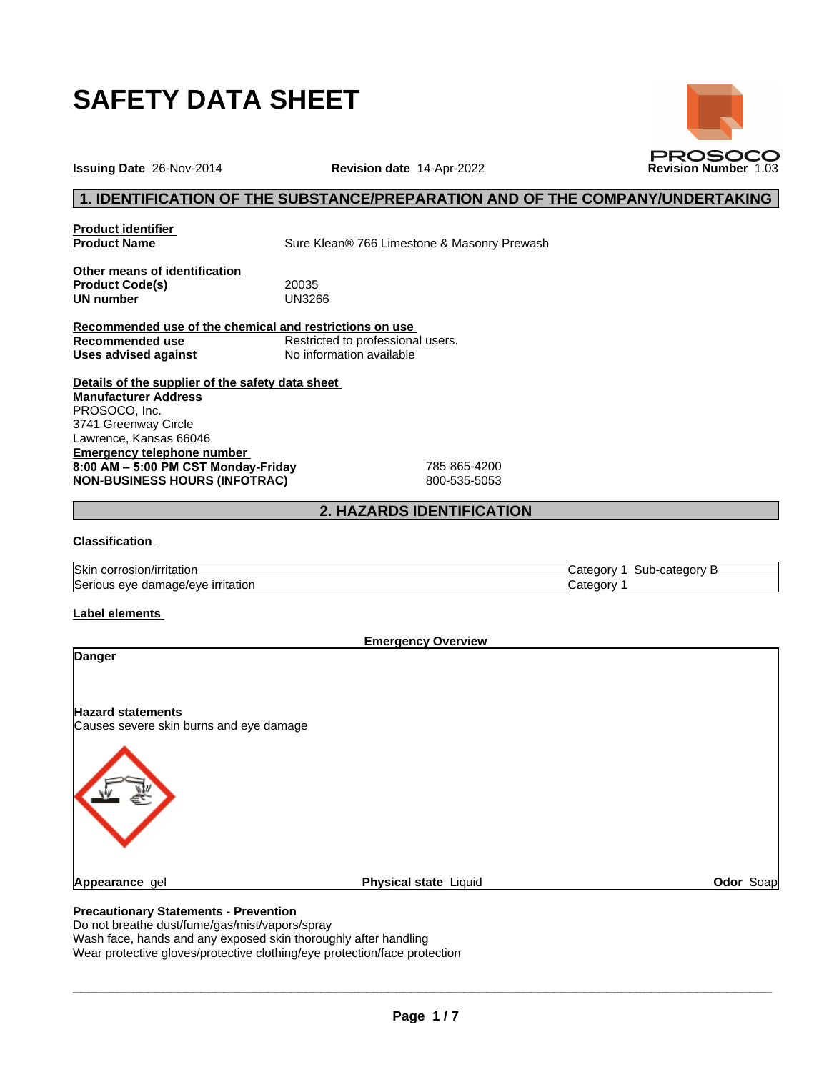





**Issuing Date** 26-Nov-2014 **Revision date** 14-Apr-2022 **Revision Number** 1.03

# **1. IDENTIFICATION OF THE SUBSTANCE/PREPARATION AND OF THE COMPANY/UNDERTAKING**

**Product identifier**

**Product Name** Sure Klean<sup>®</sup> 766 Limestone & Masonry Prewash

**Other means of identification Product Code(s)** 20035<br> **UN number** UN3266 **UN number** 

**Recommended use of the chemical and restrictions on use Recommended use**<br> **Uses advised against**<br>
No information available **No information available** 

**Details of the supplier of the safety data sheet Emergency telephone number 8:00AM–5:00PMCSTMonday-Friday** 785-865-4200 **NON-BUSINESS HOURS (INFOTRAC)** 800-535-5053 **Manufacturer Address** PROSOCO, Inc. 3741 Greenway Circle Lawrence, Kansas 66046

# **2. HAZARDS IDENTIFICATION**

#### **Classification**

| <b>Skir</b><br>`∩rrosion/irritation<br>.                              | -categor<br>-----<br>∵ate<br>sur<br>. .OTV<br>- ۱ |
|-----------------------------------------------------------------------|---------------------------------------------------|
| Serious<br>ırrıtatıor<br>ue/eve .<br>$\sim$<br>nar<br>aut '<br>$\sim$ | شc¤teqor                                          |

#### **Label elements**

| <b>Emergency Overview</b>                                           |                       |           |
|---------------------------------------------------------------------|-----------------------|-----------|
| <b>Danger</b>                                                       |                       |           |
| <b>Hazard statements</b><br>Causes severe skin burns and eye damage |                       |           |
|                                                                     |                       |           |
| Appearance gel                                                      | Physical state Liquid | Odor Soap |
|                                                                     |                       |           |

# **Precautionary Statements - Prevention**

Do not breathe dust/fume/gas/mist/vapors/spray

Wash face, hands and any exposed skin thoroughly after handling

Wear protective gloves/protective clothing/eye protection/face protection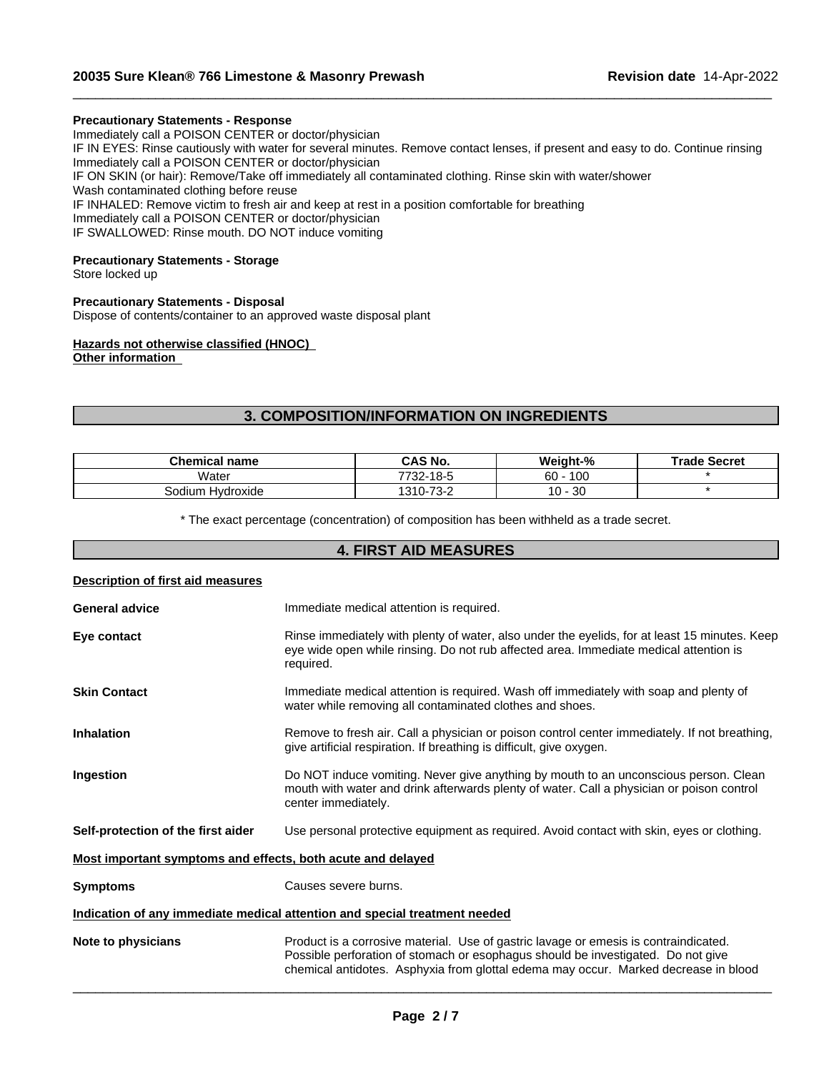#### **Precautionary Statements - Response**

Immediately call a POISON CENTER or doctor/physician IF IN EYES: Rinse cautiously with water for several minutes. Remove contact lenses, if present and easy to do. Continue rinsing Immediately call a POISON CENTER or doctor/physician IF ON SKIN (or hair): Remove/Take off immediately all contaminated clothing. Rinse skin with water/shower Wash contaminated clothing before reuse IF INHALED: Remove victim to fresh air and keep at rest in a position comfortable for breathing Immediately call a POISON CENTER or doctor/physician IF SWALLOWED: Rinse mouth. DO NOT induce vomiting

 $\_$  ,  $\_$  ,  $\_$  ,  $\_$  ,  $\_$  ,  $\_$  ,  $\_$  ,  $\_$  ,  $\_$  ,  $\_$  ,  $\_$  ,  $\_$  ,  $\_$  ,  $\_$  ,  $\_$  ,  $\_$  ,  $\_$  ,  $\_$  ,  $\_$  ,  $\_$  ,  $\_$  ,  $\_$  ,  $\_$  ,  $\_$  ,  $\_$  ,  $\_$  ,  $\_$  ,  $\_$  ,  $\_$  ,  $\_$  ,  $\_$  ,  $\_$  ,  $\_$  ,  $\_$  ,  $\_$  ,  $\_$  ,  $\_$  ,

## **Precautionary Statements - Storage**

Store locked up

# **Precautionary Statements - Disposal**

Dispose of contents/container to an approved waste disposal plant

# **Hazards not otherwise classified (HNOC)**

**Other information**

# **3. COMPOSITION/INFORMATION ON INGREDIENTS**

| Chemical<br>name    | <b>CAS No.</b>           | Weight-%                         | <b>Trade Secret</b> |
|---------------------|--------------------------|----------------------------------|---------------------|
| Water               | 7732-18-5                | 100<br>60                        |                     |
| Hydroxide<br>sodium | ص د∽ ⊤<br>1310-<br>ے-د ا | $\Omega$<br>$\overline{ }$<br>ುು |                     |

\* The exact percentage (concentration) of composition has been withheld as a trade secret.

# **4. FIRST AID MEASURES**

| Description of first aid measures                           |                                                                                                                                                                                                                                                                 |
|-------------------------------------------------------------|-----------------------------------------------------------------------------------------------------------------------------------------------------------------------------------------------------------------------------------------------------------------|
| <b>General advice</b>                                       | Immediate medical attention is required.                                                                                                                                                                                                                        |
| Eye contact                                                 | Rinse immediately with plenty of water, also under the eyelids, for at least 15 minutes. Keep<br>eye wide open while rinsing. Do not rub affected area. Immediate medical attention is<br>required.                                                             |
| <b>Skin Contact</b>                                         | Immediate medical attention is required. Wash off immediately with soap and plenty of<br>water while removing all contaminated clothes and shoes.                                                                                                               |
| <b>Inhalation</b>                                           | Remove to fresh air. Call a physician or poison control center immediately. If not breathing,<br>give artificial respiration. If breathing is difficult, give oxygen.                                                                                           |
| Ingestion                                                   | Do NOT induce vomiting. Never give anything by mouth to an unconscious person. Clean<br>mouth with water and drink afterwards plenty of water. Call a physician or poison control<br>center immediately.                                                        |
| Self-protection of the first aider                          | Use personal protective equipment as required. Avoid contact with skin, eyes or clothing.                                                                                                                                                                       |
| Most important symptoms and effects, both acute and delayed |                                                                                                                                                                                                                                                                 |
| <b>Symptoms</b>                                             | Causes severe burns.                                                                                                                                                                                                                                            |
|                                                             | Indication of any immediate medical attention and special treatment needed                                                                                                                                                                                      |
| Note to physicians                                          | Product is a corrosive material. Use of gastric lavage or emesis is contraindicated.<br>Possible perforation of stomach or esophagus should be investigated. Do not give<br>chemical antidotes. Asphyxia from glottal edema may occur. Marked decrease in blood |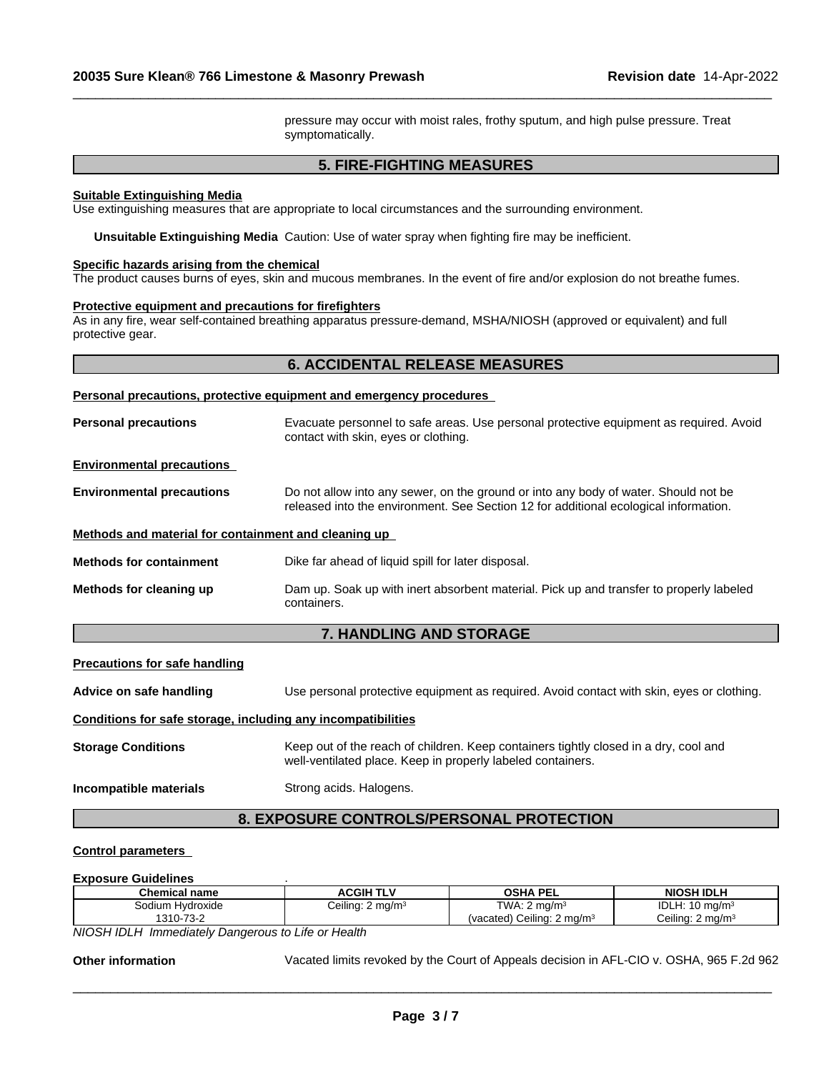pressure may occur with moist rales, frothy sputum, and high pulse pressure. Treat symptomatically.

 $\_$  ,  $\_$  ,  $\_$  ,  $\_$  ,  $\_$  ,  $\_$  ,  $\_$  ,  $\_$  ,  $\_$  ,  $\_$  ,  $\_$  ,  $\_$  ,  $\_$  ,  $\_$  ,  $\_$  ,  $\_$  ,  $\_$  ,  $\_$  ,  $\_$  ,  $\_$  ,  $\_$  ,  $\_$  ,  $\_$  ,  $\_$  ,  $\_$  ,  $\_$  ,  $\_$  ,  $\_$  ,  $\_$  ,  $\_$  ,  $\_$  ,  $\_$  ,  $\_$  ,  $\_$  ,  $\_$  ,  $\_$  ,  $\_$  ,

# **5. FIRE-FIGHTING MEASURES**

#### **Suitable Extinguishing Media**

Use extinguishing measures that are appropriate to local circumstances and the surrounding environment.

**Unsuitable Extinguishing Media** Caution: Use of water spray when fighting fire may be inefficient.

#### **Specific hazards arising from the chemical**

The product causes burns of eyes, skin and mucous membranes. In the event of fire and/or explosion do not breathe fumes.

#### **Protective equipment and precautions for firefighters**

As in any fire, wear self-contained breathing apparatus pressure-demand, MSHA/NIOSH (approved or equivalent) and full protective gear.

### **6. ACCIDENTAL RELEASE MEASURES**

#### **Personal precautions, protective equipment and emergency procedures**

| <b>Personal precautions</b>                          | Evacuate personnel to safe areas. Use personal protective equipment as required. Avoid<br>contact with skin, eyes or clothing.                                              |  |
|------------------------------------------------------|-----------------------------------------------------------------------------------------------------------------------------------------------------------------------------|--|
| <b>Environmental precautions</b>                     |                                                                                                                                                                             |  |
| <b>Environmental precautions</b>                     | Do not allow into any sewer, on the ground or into any body of water. Should not be<br>released into the environment. See Section 12 for additional ecological information. |  |
| Methods and material for containment and cleaning up |                                                                                                                                                                             |  |
| <b>Methods for containment</b>                       | Dike far ahead of liquid spill for later disposal.                                                                                                                          |  |
| Methods for cleaning up                              | Dam up. Soak up with inert absorbent material. Pick up and transfer to properly labeled<br>containers.                                                                      |  |

# **7. HANDLING AND STORAGE**

#### **Precautions for safe handling**

**Advice on safe handling** Use personal protective equipment as required.Avoid contact with skin, eyes or clothing.

#### **Conditions for safe storage, including any incompatibilities**

**Storage Conditions** Keep out of the reach of children. Keep containers tightly closed in a dry, cool and well-ventilated place. Keep in properly labeled containers.

**Incompatible materials** Strong acids. Halogens.

# **8. EXPOSURE CONTROLS/PERSONAL PROTECTION**

#### **Control parameters**

#### **Exposure Guidelines** .

| <b>Chemical name</b>  | <b>TLV</b><br>ACGIH                         | <b>OSHA PEL</b>                          | NIOSH IDLH                                  |
|-----------------------|---------------------------------------------|------------------------------------------|---------------------------------------------|
| Sodium<br>Hvdroxide   | $\mu$ ing: 2 mg/m <sup>3</sup><br>. .<br>◡▱ | TWA: 2<br>' ma/m∘                        | IDL.<br>II. 4 O<br>$10 \text{ ma/m}^3$<br>. |
| $-73-2$<br>$1310 - 7$ |                                             | Ceiling: 2<br>. 2 ma/m $^3$<br>(vacated) | Ceilina:<br>. $\angle$ ma/m $^3$            |

*NIOSH IDLH Immediately Dangerous to Life or Health*

**Other information** Vacated limits revoked by the Court of Appeals decision in AFL-CIO v.OSHA, 965 F.2d 962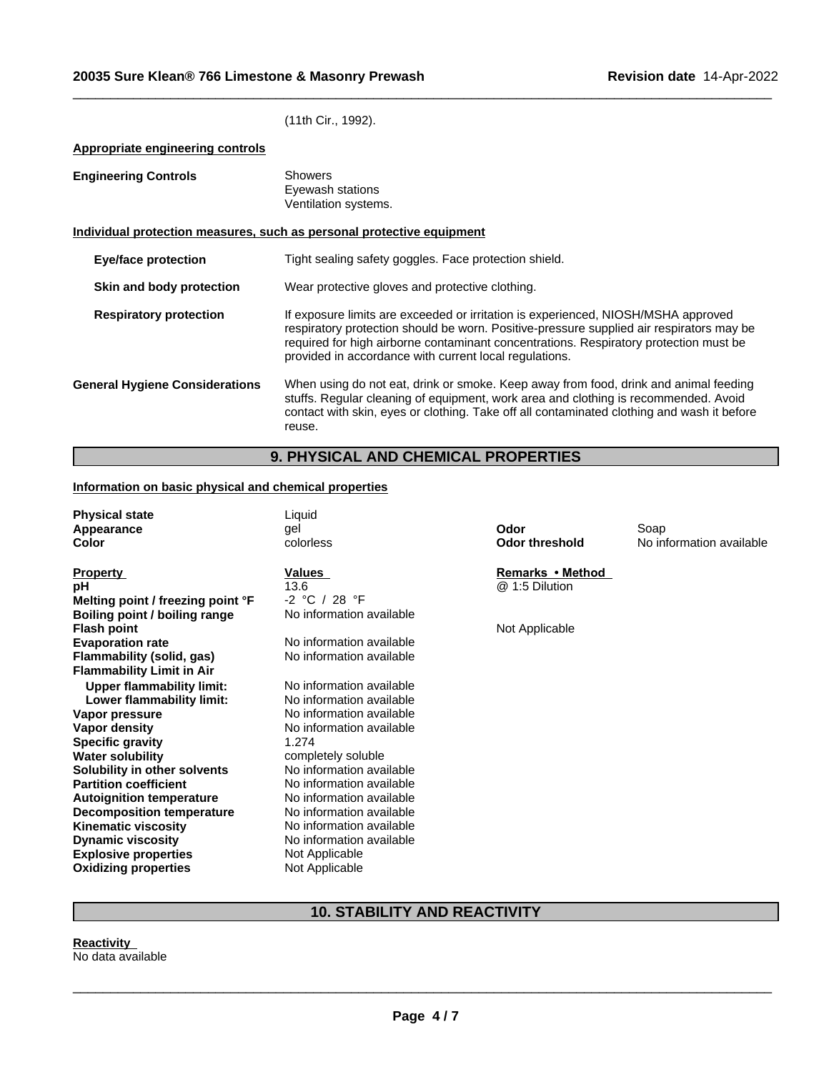(11th Cir., 1992).

**Appropriate engineering controls**

| <b>Engineering Controls</b>           | <b>Showers</b><br>Eyewash stations<br>Ventilation systems.                                                                                                                                                                                                                                                                       |  |  |
|---------------------------------------|----------------------------------------------------------------------------------------------------------------------------------------------------------------------------------------------------------------------------------------------------------------------------------------------------------------------------------|--|--|
|                                       | Individual protection measures, such as personal protective equipment                                                                                                                                                                                                                                                            |  |  |
| <b>Eye/face protection</b>            | Tight sealing safety goggles. Face protection shield.                                                                                                                                                                                                                                                                            |  |  |
| Skin and body protection              | Wear protective gloves and protective clothing.                                                                                                                                                                                                                                                                                  |  |  |
| <b>Respiratory protection</b>         | If exposure limits are exceeded or irritation is experienced, NIOSH/MSHA approved<br>respiratory protection should be worn. Positive-pressure supplied air respirators may be<br>required for high airborne contaminant concentrations. Respiratory protection must be<br>provided in accordance with current local regulations. |  |  |
| <b>General Hygiene Considerations</b> | When using do not eat, drink or smoke. Keep away from food, drink and animal feeding<br>stuffs. Regular cleaning of equipment, work area and clothing is recommended. Avoid<br>contact with skin, eyes or clothing. Take off all contaminated clothing and wash it before<br>reuse.                                              |  |  |

 $\_$  ,  $\_$  ,  $\_$  ,  $\_$  ,  $\_$  ,  $\_$  ,  $\_$  ,  $\_$  ,  $\_$  ,  $\_$  ,  $\_$  ,  $\_$  ,  $\_$  ,  $\_$  ,  $\_$  ,  $\_$  ,  $\_$  ,  $\_$  ,  $\_$  ,  $\_$  ,  $\_$  ,  $\_$  ,  $\_$  ,  $\_$  ,  $\_$  ,  $\_$  ,  $\_$  ,  $\_$  ,  $\_$  ,  $\_$  ,  $\_$  ,  $\_$  ,  $\_$  ,  $\_$  ,  $\_$  ,  $\_$  ,  $\_$  ,

# **9. PHYSICAL AND CHEMICAL PROPERTIES**

# **Information on basic physical and chemical properties**

| <b>Physical state</b>             | Liquid                   |                       |                          |
|-----------------------------------|--------------------------|-----------------------|--------------------------|
| Appearance                        | gel                      | Odor                  | Soap                     |
| Color                             | colorless                | <b>Odor threshold</b> | No information available |
|                                   |                          |                       |                          |
| <b>Property</b>                   | Values                   | Remarks • Method      |                          |
| рH                                | 13.6                     | @ 1:5 Dilution        |                          |
| Melting point / freezing point °F | $-2 °C / 28 °F$          |                       |                          |
| Boiling point / boiling range     | No information available |                       |                          |
| <b>Flash point</b>                |                          | Not Applicable        |                          |
| <b>Evaporation rate</b>           | No information available |                       |                          |
| Flammability (solid, gas)         | No information available |                       |                          |
| <b>Flammability Limit in Air</b>  |                          |                       |                          |
| <b>Upper flammability limit:</b>  | No information available |                       |                          |
| Lower flammability limit:         | No information available |                       |                          |
| Vapor pressure                    | No information available |                       |                          |
| Vapor density                     | No information available |                       |                          |
| <b>Specific gravity</b>           | 1.274                    |                       |                          |
| <b>Water solubility</b>           | completely soluble       |                       |                          |
| Solubility in other solvents      | No information available |                       |                          |
| <b>Partition coefficient</b>      | No information available |                       |                          |
| <b>Autoignition temperature</b>   | No information available |                       |                          |
| <b>Decomposition temperature</b>  | No information available |                       |                          |
| <b>Kinematic viscosity</b>        | No information available |                       |                          |
| <b>Dynamic viscosity</b>          | No information available |                       |                          |
| <b>Explosive properties</b>       | Not Applicable           |                       |                          |
| <b>Oxidizing properties</b>       | Not Applicable           |                       |                          |

# **10. STABILITY AND REACTIVITY**

**Reactivity** No data available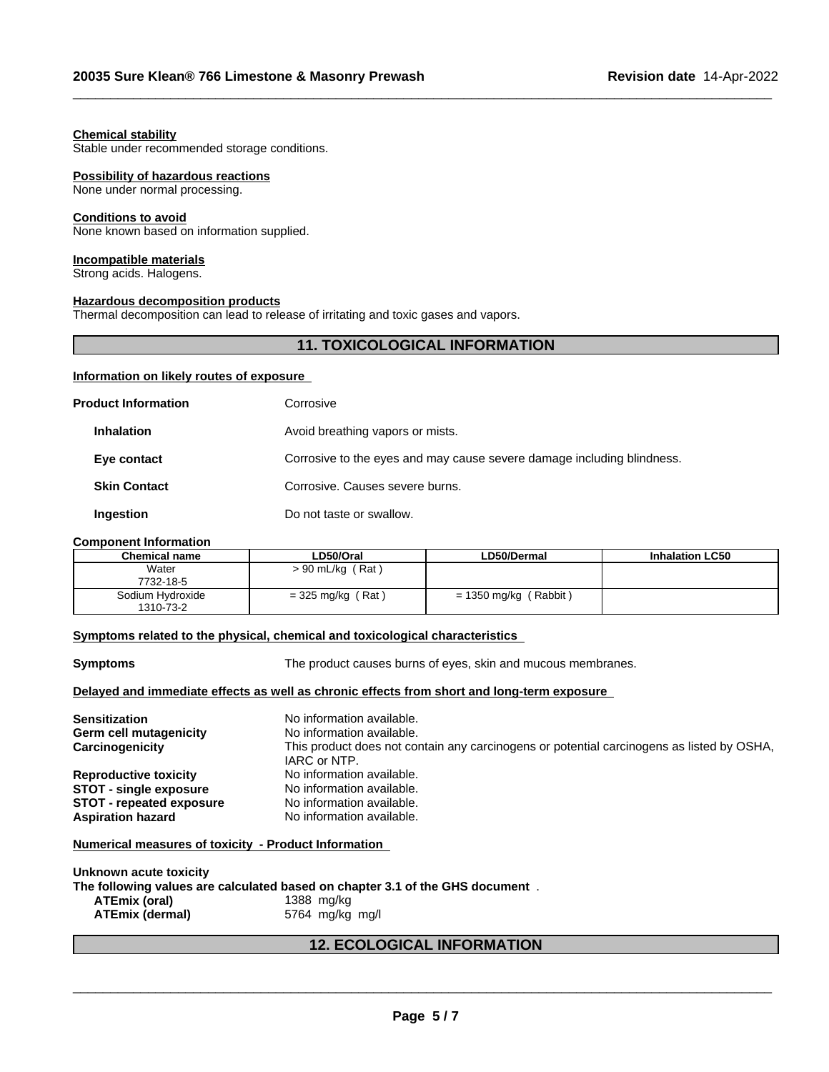#### **Chemical stability**

Stable under recommended storage conditions.

#### **Possibility of hazardous reactions**

None under normal processing.

#### **Conditions to avoid**

None known based on information supplied.

#### **Incompatible materials**

Strong acids. Halogens.

## **Hazardous decomposition products**

Thermal decomposition can lead to release of irritating and toxic gases and vapors.

# **11. TOXICOLOGICAL INFORMATION**

 $\_$  ,  $\_$  ,  $\_$  ,  $\_$  ,  $\_$  ,  $\_$  ,  $\_$  ,  $\_$  ,  $\_$  ,  $\_$  ,  $\_$  ,  $\_$  ,  $\_$  ,  $\_$  ,  $\_$  ,  $\_$  ,  $\_$  ,  $\_$  ,  $\_$  ,  $\_$  ,  $\_$  ,  $\_$  ,  $\_$  ,  $\_$  ,  $\_$  ,  $\_$  ,  $\_$  ,  $\_$  ,  $\_$  ,  $\_$  ,  $\_$  ,  $\_$  ,  $\_$  ,  $\_$  ,  $\_$  ,  $\_$  ,  $\_$  ,

# **Information on likely routes of exposure**

| <b>Product Information</b> | Corrosive                                                              |
|----------------------------|------------------------------------------------------------------------|
| <b>Inhalation</b>          | Avoid breathing vapors or mists.                                       |
| Eye contact                | Corrosive to the eyes and may cause severe damage including blindness. |
| <b>Skin Contact</b>        | Corrosive. Causes severe burns.                                        |
| Ingestion                  | Do not taste or swallow.                                               |

#### **Component Information**

| <b>Chemical name</b> | LD50/Oral           | LD50/Dermal                | <b>Inhalation LC50</b> |
|----------------------|---------------------|----------------------------|------------------------|
| Water                | $> 90$ mL/kg (Rat)  |                            |                        |
| 7732-18-5            |                     |                            |                        |
| Sodium Hydroxide     | $=$ 325 mg/kg (Rat) | [Rabbit]<br>= 1350 mg/kg / |                        |
| 1310-73-2            |                     |                            |                        |

#### **Symptoms related to the physical,chemical and toxicological characteristics**

| <b>Symptoms</b>                                                                            | The product causes burns of eyes, skin and mucous membranes.                                              |  |
|--------------------------------------------------------------------------------------------|-----------------------------------------------------------------------------------------------------------|--|
| Delayed and immediate effects as well as chronic effects from short and long-term exposure |                                                                                                           |  |
| <b>Sensitization</b>                                                                       | No information available.                                                                                 |  |
| <b>Germ cell mutagenicity</b>                                                              | No information available.                                                                                 |  |
| Carcinogenicity                                                                            | This product does not contain any carcinogens or potential carcinogens as listed by OSHA,<br>IARC or NTP. |  |
| <b>Reproductive toxicity</b>                                                               | No information available.                                                                                 |  |
| <b>STOT - single exposure</b>                                                              | No information available.                                                                                 |  |
| <b>STOT - repeated exposure</b>                                                            | No information available.                                                                                 |  |
| <b>Aspiration hazard</b>                                                                   | No information available.                                                                                 |  |
| Numerical measures of toxicity - Product Information                                       |                                                                                                           |  |

| Unknown acute toxicity |                                                                               |
|------------------------|-------------------------------------------------------------------------------|
|                        | The following values are calculated based on chapter 3.1 of the GHS document. |
| ATEmix (oral)          | 1388 ma/ka                                                                    |
| <b>ATEmix (dermal)</b> | 5764 mg/kg mg/l                                                               |

# **12. ECOLOGICAL INFORMATION**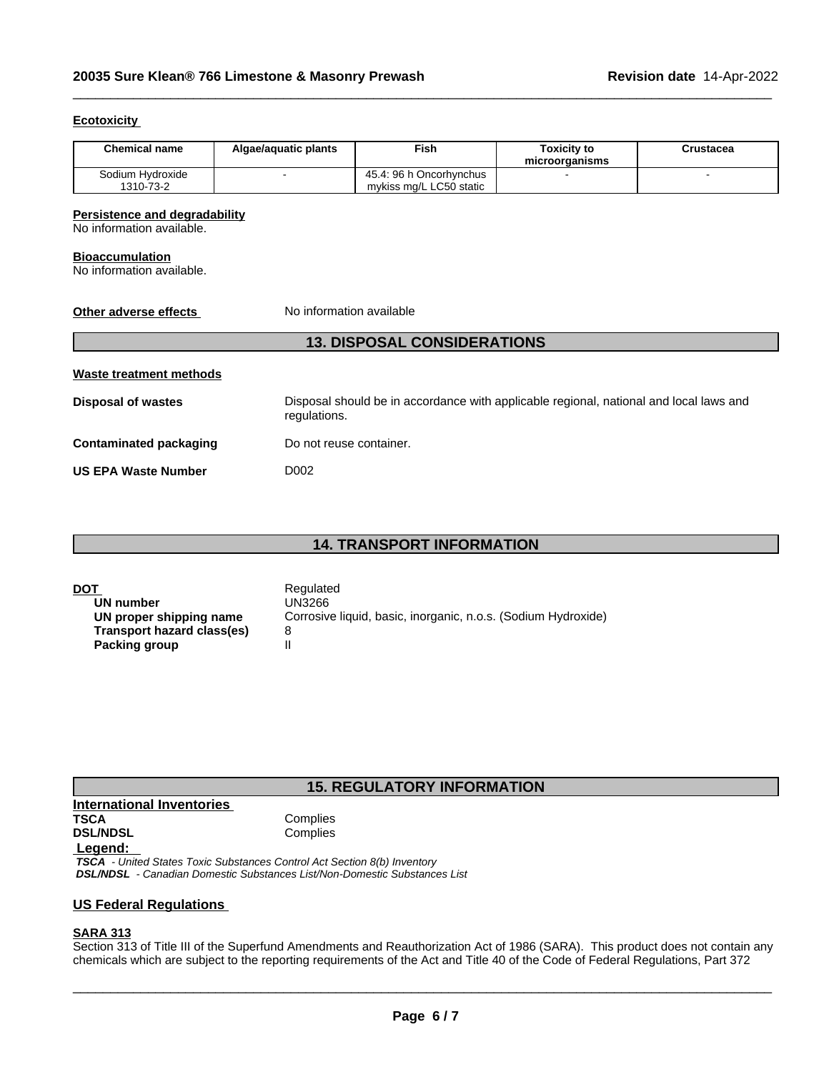## **Ecotoxicity**

| <b>Chemical name</b>          | Algae/aguatic plants | Fish                                               | Toxicitv to<br>microorganisms | Crustacea |
|-------------------------------|----------------------|----------------------------------------------------|-------------------------------|-----------|
| Sodium Hydroxide<br>1310-73-2 |                      | 45.4: 96 h Oncorhynchus<br>mykiss mg/L LC50 static |                               |           |

 $\_$  ,  $\_$  ,  $\_$  ,  $\_$  ,  $\_$  ,  $\_$  ,  $\_$  ,  $\_$  ,  $\_$  ,  $\_$  ,  $\_$  ,  $\_$  ,  $\_$  ,  $\_$  ,  $\_$  ,  $\_$  ,  $\_$  ,  $\_$  ,  $\_$  ,  $\_$  ,  $\_$  ,  $\_$  ,  $\_$  ,  $\_$  ,  $\_$  ,  $\_$  ,  $\_$  ,  $\_$  ,  $\_$  ,  $\_$  ,  $\_$  ,  $\_$  ,  $\_$  ,  $\_$  ,  $\_$  ,  $\_$  ,  $\_$  ,

## **Persistence and degradability**

No information available.

#### **Bioaccumulation**

No information available.

# **Other adverse effects** No information available

# **13. DISPOSAL CONSIDERATIONS**

| Waste treatment methods       |                                                                                                        |
|-------------------------------|--------------------------------------------------------------------------------------------------------|
| <b>Disposal of wastes</b>     | Disposal should be in accordance with applicable regional, national and local laws and<br>regulations. |
| <b>Contaminated packaging</b> | Do not reuse container.                                                                                |
| <b>US EPA Waste Number</b>    | D002                                                                                                   |

# **14. TRANSPORT INFORMATION**

| DOT                        | Regulated                                                     |
|----------------------------|---------------------------------------------------------------|
| UN number                  | UN3266                                                        |
| UN proper shipping name    | Corrosive liquid, basic, inorganic, n.o.s. (Sodium Hydroxide) |
| Transport hazard class(es) |                                                               |
| Packing group              |                                                               |

# **15. REGULATORY INFORMATION**

**International Inventories DSL/NDSL** 

Complies<br>Complies

#### **Legend:**

 *TSCA - United States Toxic Substances Control Act Section 8(b) Inventory DSL/NDSL - Canadian Domestic Substances List/Non-Domestic Substances List*

### **US Federal Regulations**

# **SARA 313**

Section 313 of Title III of the Superfund Amendments and Reauthorization Act of 1986 (SARA). This product does not contain any chemicals which are subject to the reporting requirements of the Act and Title 40 of the Code of Federal Regulations, Part 372